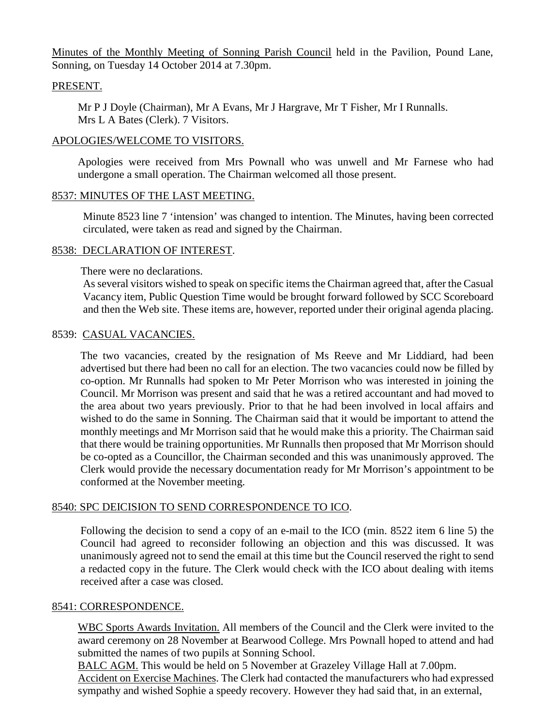Minutes of the Monthly Meeting of Sonning Parish Council held in the Pavilion, Pound Lane, Sonning, on Tuesday 14 October 2014 at 7.30pm.

### PRESENT.

Mr P J Doyle (Chairman), Mr A Evans, Mr J Hargrave, Mr T Fisher, Mr I Runnalls. Mrs L A Bates (Clerk). 7 Visitors.

### APOLOGIES/WELCOME TO VISITORS.

Apologies were received from Mrs Pownall who was unwell and Mr Farnese who had undergone a small operation. The Chairman welcomed all those present.

# 8537: MINUTES OF THE LAST MEETING.

Minute 8523 line 7 'intension' was changed to intention. The Minutes, having been corrected circulated, were taken as read and signed by the Chairman.

### 8538: DECLARATION OF INTEREST.

There were no declarations.

As several visitors wished to speak on specific items the Chairman agreed that, after the Casual Vacancy item, Public Question Time would be brought forward followed by SCC Scoreboard and then the Web site. These items are, however, reported under their original agenda placing.

### 8539: CASUAL VACANCIES.

The two vacancies, created by the resignation of Ms Reeve and Mr Liddiard, had been advertised but there had been no call for an election. The two vacancies could now be filled by co-option. Mr Runnalls had spoken to Mr Peter Morrison who was interested in joining the Council. Mr Morrison was present and said that he was a retired accountant and had moved to the area about two years previously. Prior to that he had been involved in local affairs and wished to do the same in Sonning. The Chairman said that it would be important to attend the monthly meetings and Mr Morrison said that he would make this a priority. The Chairman said that there would be training opportunities. Mr Runnalls then proposed that Mr Morrison should be co-opted as a Councillor, the Chairman seconded and this was unanimously approved. The Clerk would provide the necessary documentation ready for Mr Morrison's appointment to be conformed at the November meeting.

### 8540: SPC DEICISION TO SEND CORRESPONDENCE TO ICO.

Following the decision to send a copy of an e-mail to the ICO (min. 8522 item 6 line 5) the Council had agreed to reconsider following an objection and this was discussed. It was unanimously agreed not to send the email at this time but the Council reserved the right to send a redacted copy in the future. The Clerk would check with the ICO about dealing with items received after a case was closed.

### 8541: CORRESPONDENCE.

WBC Sports Awards Invitation. All members of the Council and the Clerk were invited to the award ceremony on 28 November at Bearwood College. Mrs Pownall hoped to attend and had submitted the names of two pupils at Sonning School.

BALC AGM. This would be held on 5 November at Grazeley Village Hall at 7.00pm. Accident on Exercise Machines. The Clerk had contacted the manufacturers who had expressed sympathy and wished Sophie a speedy recovery. However they had said that, in an external,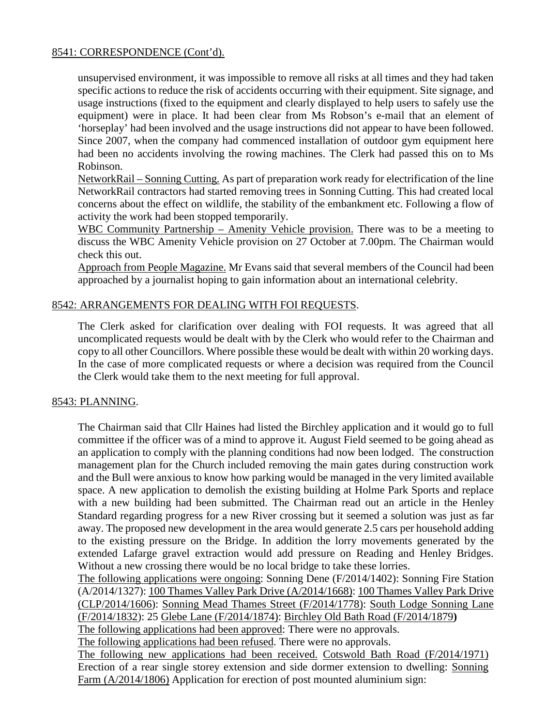# 8541: CORRESPONDENCE (Cont'd).

unsupervised environment, it was impossible to remove all risks at all times and they had taken specific actions to reduce the risk of accidents occurring with their equipment. Site signage, and usage instructions (fixed to the equipment and clearly displayed to help users to safely use the equipment) were in place. It had been clear from Ms Robson's e-mail that an element of 'horseplay' had been involved and the usage instructions did not appear to have been followed. Since 2007, when the company had commenced installation of outdoor gym equipment here had been no accidents involving the rowing machines. The Clerk had passed this on to Ms Robinson.

NetworkRail – Sonning Cutting. As part of preparation work ready for electrification of the line NetworkRail contractors had started removing trees in Sonning Cutting. This had created local concerns about the effect on wildlife, the stability of the embankment etc. Following a flow of activity the work had been stopped temporarily.

WBC Community Partnership – Amenity Vehicle provision. There was to be a meeting to discuss the WBC Amenity Vehicle provision on 27 October at 7.00pm. The Chairman would check this out.

Approach from People Magazine. Mr Evans said that several members of the Council had been approached by a journalist hoping to gain information about an international celebrity.

# 8542: ARRANGEMENTS FOR DEALING WITH FOI REQUESTS.

The Clerk asked for clarification over dealing with FOI requests. It was agreed that all uncomplicated requests would be dealt with by the Clerk who would refer to the Chairman and copy to all other Councillors. Where possible these would be dealt with within 20 working days. In the case of more complicated requests or where a decision was required from the Council the Clerk would take them to the next meeting for full approval.

### 8543: PLANNING.

The Chairman said that Cllr Haines had listed the Birchley application and it would go to full committee if the officer was of a mind to approve it. August Field seemed to be going ahead as an application to comply with the planning conditions had now been lodged. The construction management plan for the Church included removing the main gates during construction work and the Bull were anxious to know how parking would be managed in the very limited available space. A new application to demolish the existing building at Holme Park Sports and replace with a new building had been submitted. The Chairman read out an article in the Henley Standard regarding progress for a new River crossing but it seemed a solution was just as far away. The proposed new development in the area would generate 2.5 cars per household adding to the existing pressure on the Bridge. In addition the lorry movements generated by the extended Lafarge gravel extraction would add pressure on Reading and Henley Bridges. Without a new crossing there would be no local bridge to take these lorries.

The following applications were ongoing: Sonning Dene (F/2014/1402): Sonning Fire Station (A/2014/1327): 100 Thames Valley Park Drive (A/2014/1668): 100 Thames Valley Park Drive (CLP/2014/1606): Sonning Mead Thames Street (F/2014/1778): South Lodge Sonning Lane (F/2014/1832): 25 Glebe Lane (F/2014/1874): Birchley Old Bath Road (F/2014/1879**)** 

The following applications had been approved: There were no approvals.

The following applications had been refused. There were no approvals.

The following new applications had been received. Cotswold Bath Road (F/2014/1971) Erection of a rear single storey extension and side dormer extension to dwelling: Sonning Farm (A/2014/1806) Application for erection of post mounted aluminium sign: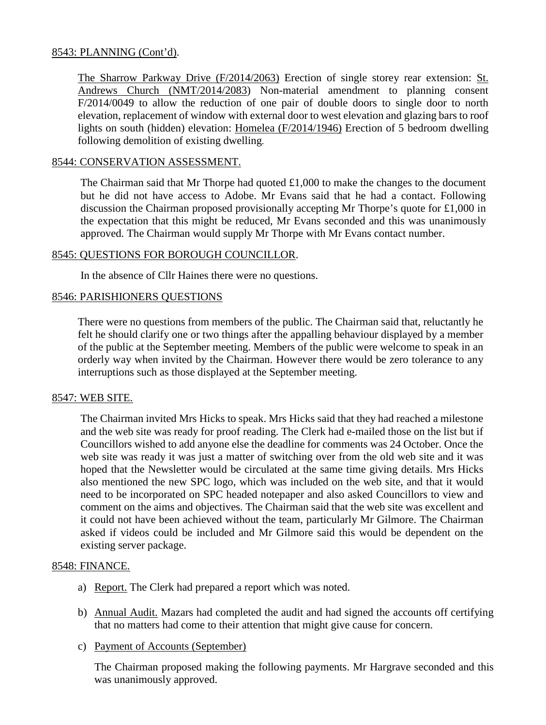# 8543: PLANNING (Cont'd).

The Sharrow Parkway Drive (F/2014/2063) Erection of single storey rear extension: St. Andrews Church (NMT/2014/2083) Non-material amendment to planning consent F/2014/0049 to allow the reduction of one pair of double doors to single door to north elevation, replacement of window with external door to west elevation and glazing bars to roof lights on south (hidden) elevation: Homelea (F/2014/1946) Erection of 5 bedroom dwelling following demolition of existing dwelling.

### 8544: CONSERVATION ASSESSMENT.

The Chairman said that Mr Thorpe had quoted £1,000 to make the changes to the document but he did not have access to Adobe. Mr Evans said that he had a contact. Following discussion the Chairman proposed provisionally accepting Mr Thorpe's quote for £1,000 in the expectation that this might be reduced, Mr Evans seconded and this was unanimously approved. The Chairman would supply Mr Thorpe with Mr Evans contact number.

# 8545: QUESTIONS FOR BOROUGH COUNCILLOR.

In the absence of Cllr Haines there were no questions.

# 8546: PARISHIONERS QUESTIONS

There were no questions from members of the public. The Chairman said that, reluctantly he felt he should clarify one or two things after the appalling behaviour displayed by a member of the public at the September meeting. Members of the public were welcome to speak in an orderly way when invited by the Chairman. However there would be zero tolerance to any interruptions such as those displayed at the September meeting.

### 8547: WEB SITE.

The Chairman invited Mrs Hicks to speak. Mrs Hicks said that they had reached a milestone and the web site was ready for proof reading. The Clerk had e-mailed those on the list but if Councillors wished to add anyone else the deadline for comments was 24 October. Once the web site was ready it was just a matter of switching over from the old web site and it was hoped that the Newsletter would be circulated at the same time giving details. Mrs Hicks also mentioned the new SPC logo, which was included on the web site, and that it would need to be incorporated on SPC headed notepaper and also asked Councillors to view and comment on the aims and objectives. The Chairman said that the web site was excellent and it could not have been achieved without the team, particularly Mr Gilmore. The Chairman asked if videos could be included and Mr Gilmore said this would be dependent on the existing server package.

### 8548: FINANCE.

- a) Report. The Clerk had prepared a report which was noted.
- b) Annual Audit. Mazars had completed the audit and had signed the accounts off certifying that no matters had come to their attention that might give cause for concern.
- c) Payment of Accounts (September)

The Chairman proposed making the following payments. Mr Hargrave seconded and this was unanimously approved.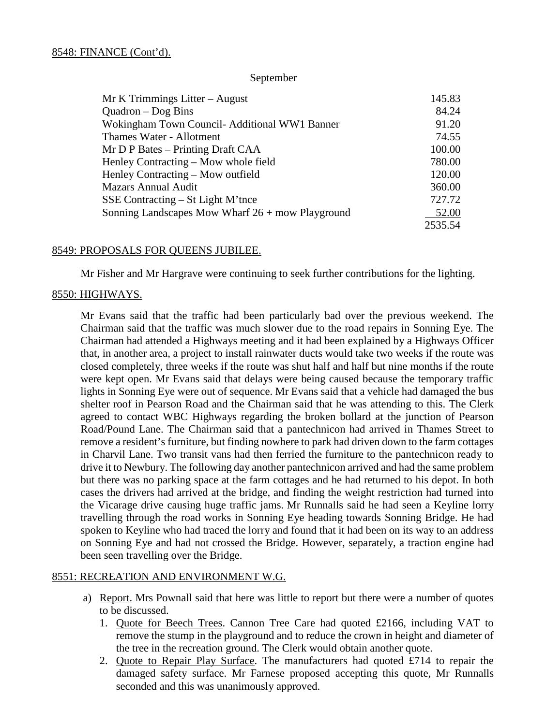#### September

| $Mr K$ Trimmings Litter – August                          | 145.83  |
|-----------------------------------------------------------|---------|
| Quadron $-\text{Dog Bins}$                                | 84.24   |
| Wokingham Town Council- Additional WW1 Banner             | 91.20   |
| Thames Water - Allotment                                  | 74.55   |
| $Mr D P$ Bates – Printing Draft CAA                       | 100.00  |
| Henley Contracting – Mow whole field                      | 780.00  |
| Henley Contracting – Mow outfield                         | 120.00  |
| <b>Mazars Annual Audit</b>                                | 360.00  |
| SSE Contracting $-$ St Light M'tnce                       | 727.72  |
| Sonning Landscapes Mow Wharf $26 + \text{mov}$ Playground | 52.00   |
|                                                           | 2535.54 |

#### 8549: PROPOSALS FOR QUEENS JUBILEE.

Mr Fisher and Mr Hargrave were continuing to seek further contributions for the lighting.

#### 8550: HIGHWAYS.

Mr Evans said that the traffic had been particularly bad over the previous weekend. The Chairman said that the traffic was much slower due to the road repairs in Sonning Eye. The Chairman had attended a Highways meeting and it had been explained by a Highways Officer that, in another area, a project to install rainwater ducts would take two weeks if the route was closed completely, three weeks if the route was shut half and half but nine months if the route were kept open. Mr Evans said that delays were being caused because the temporary traffic lights in Sonning Eye were out of sequence. Mr Evans said that a vehicle had damaged the bus shelter roof in Pearson Road and the Chairman said that he was attending to this. The Clerk agreed to contact WBC Highways regarding the broken bollard at the junction of Pearson Road/Pound Lane. The Chairman said that a pantechnicon had arrived in Thames Street to remove a resident's furniture, but finding nowhere to park had driven down to the farm cottages in Charvil Lane. Two transit vans had then ferried the furniture to the pantechnicon ready to drive it to Newbury. The following day another pantechnicon arrived and had the same problem but there was no parking space at the farm cottages and he had returned to his depot. In both cases the drivers had arrived at the bridge, and finding the weight restriction had turned into the Vicarage drive causing huge traffic jams. Mr Runnalls said he had seen a Keyline lorry travelling through the road works in Sonning Eye heading towards Sonning Bridge. He had spoken to Keyline who had traced the lorry and found that it had been on its way to an address on Sonning Eye and had not crossed the Bridge. However, separately, a traction engine had been seen travelling over the Bridge.

### 8551: RECREATION AND ENVIRONMENT W.G.

- a) Report. Mrs Pownall said that here was little to report but there were a number of quotes to be discussed.
	- 1. Quote for Beech Trees. Cannon Tree Care had quoted £2166, including VAT to remove the stump in the playground and to reduce the crown in height and diameter of the tree in the recreation ground. The Clerk would obtain another quote.
	- 2. Quote to Repair Play Surface. The manufacturers had quoted £714 to repair the damaged safety surface. Mr Farnese proposed accepting this quote, Mr Runnalls seconded and this was unanimously approved.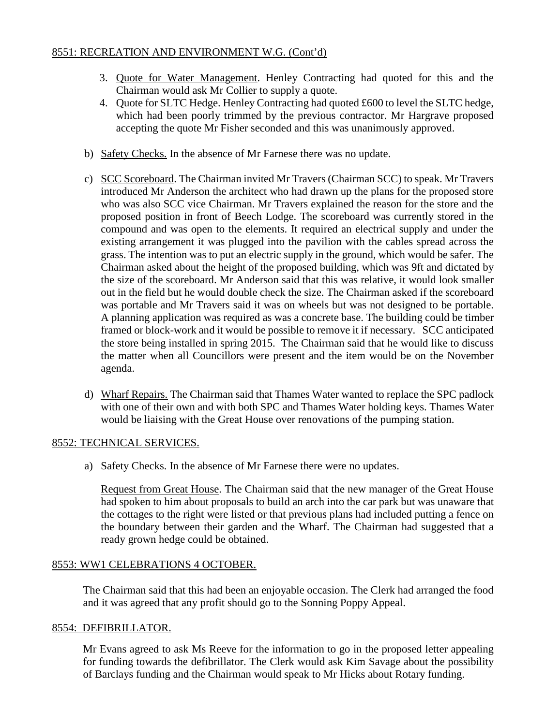# 8551: RECREATION AND ENVIRONMENT W.G. (Cont'd)

- 3. Quote for Water Management. Henley Contracting had quoted for this and the Chairman would ask Mr Collier to supply a quote.
- 4. Quote for SLTC Hedge. Henley Contracting had quoted £600 to level the SLTC hedge, which had been poorly trimmed by the previous contractor. Mr Hargrave proposed accepting the quote Mr Fisher seconded and this was unanimously approved.
- b) Safety Checks. In the absence of Mr Farnese there was no update.
- c) SCC Scoreboard. The Chairman invited Mr Travers (Chairman SCC) to speak. Mr Travers introduced Mr Anderson the architect who had drawn up the plans for the proposed store who was also SCC vice Chairman. Mr Travers explained the reason for the store and the proposed position in front of Beech Lodge. The scoreboard was currently stored in the compound and was open to the elements. It required an electrical supply and under the existing arrangement it was plugged into the pavilion with the cables spread across the grass. The intention was to put an electric supply in the ground, which would be safer. The Chairman asked about the height of the proposed building, which was 9ft and dictated by the size of the scoreboard. Mr Anderson said that this was relative, it would look smaller out in the field but he would double check the size. The Chairman asked if the scoreboard was portable and Mr Travers said it was on wheels but was not designed to be portable. A planning application was required as was a concrete base. The building could be timber framed or block-work and it would be possible to remove it if necessary. SCC anticipated the store being installed in spring 2015. The Chairman said that he would like to discuss the matter when all Councillors were present and the item would be on the November agenda.
- d) Wharf Repairs. The Chairman said that Thames Water wanted to replace the SPC padlock with one of their own and with both SPC and Thames Water holding keys. Thames Water would be liaising with the Great House over renovations of the pumping station.

# 8552: TECHNICAL SERVICES.

a) Safety Checks. In the absence of Mr Farnese there were no updates.

Request from Great House. The Chairman said that the new manager of the Great House had spoken to him about proposals to build an arch into the car park but was unaware that the cottages to the right were listed or that previous plans had included putting a fence on the boundary between their garden and the Wharf. The Chairman had suggested that a ready grown hedge could be obtained.

# 8553: WW1 CELEBRATIONS 4 OCTOBER.

The Chairman said that this had been an enjoyable occasion. The Clerk had arranged the food and it was agreed that any profit should go to the Sonning Poppy Appeal.

# 8554: DEFIBRILLATOR.

Mr Evans agreed to ask Ms Reeve for the information to go in the proposed letter appealing for funding towards the defibrillator. The Clerk would ask Kim Savage about the possibility of Barclays funding and the Chairman would speak to Mr Hicks about Rotary funding.